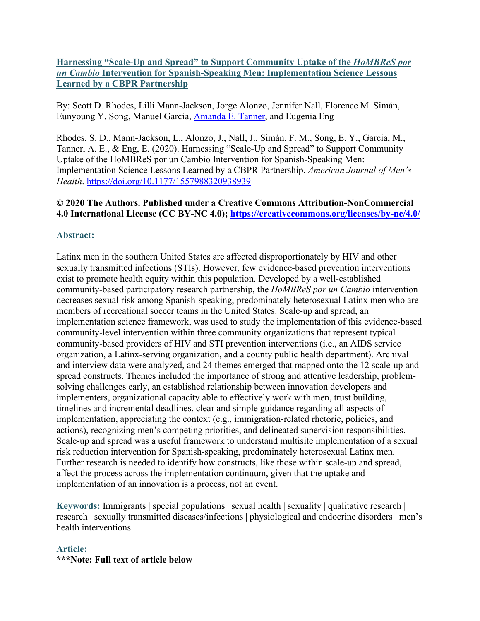# **Harnessing "Scale-Up and Spread" to Support Community Uptake of the** *HoMBReS por un Cambio* **Intervention for Spanish-Speaking Men: Implementation Science Lessons Learned by a CBPR Partnership**

By: Scott D. Rhodes, Lilli Mann-Jackson, Jorge Alonzo, Jennifer Nall, Florence M. Simán, Eunyoung Y. Song, Manuel Garcia, [Amanda E. Tanner,](https://libres.uncg.edu/ir/uncg/clist.aspx?id=7746) and Eugenia Eng

Rhodes, S. D., Mann-Jackson, L., Alonzo, J., Nall, J., Simán, F. M., Song, E. Y., Garcia, M., Tanner, A. E., & Eng, E. (2020). Harnessing "Scale-Up and Spread" to Support Community Uptake of the HoMBReS por un Cambio Intervention for Spanish-Speaking Men: Implementation Science Lessons Learned by a CBPR Partnership. *American Journal of Men's Health*. <https://doi.org/10.1177/1557988320938939>

# **© 2020 The Authors. Published under a Creative Commons Attribution-NonCommercial 4.0 International License (CC BY-NC 4.0); <https://creativecommons.org/licenses/by-nc/4.0/>**

# **Abstract:**

Latinx men in the southern United States are affected disproportionately by HIV and other sexually transmitted infections (STIs). However, few evidence-based prevention interventions exist to promote health equity within this population. Developed by a well-established community-based participatory research partnership, the *HoMBReS por un Cambio* intervention decreases sexual risk among Spanish-speaking, predominately heterosexual Latinx men who are members of recreational soccer teams in the United States. Scale-up and spread, an implementation science framework, was used to study the implementation of this evidence-based community-level intervention within three community organizations that represent typical community-based providers of HIV and STI prevention interventions (i.e., an AIDS service organization, a Latinx-serving organization, and a county public health department). Archival and interview data were analyzed, and 24 themes emerged that mapped onto the 12 scale-up and spread constructs. Themes included the importance of strong and attentive leadership, problemsolving challenges early, an established relationship between innovation developers and implementers, organizational capacity able to effectively work with men, trust building, timelines and incremental deadlines, clear and simple guidance regarding all aspects of implementation, appreciating the context (e.g., immigration-related rhetoric, policies, and actions), recognizing men's competing priorities, and delineated supervision responsibilities. Scale-up and spread was a useful framework to understand multisite implementation of a sexual risk reduction intervention for Spanish-speaking, predominately heterosexual Latinx men. Further research is needed to identify how constructs, like those within scale-up and spread, affect the process across the implementation continuum, given that the uptake and implementation of an innovation is a process, not an event.

**Keywords:** Immigrants | special populations | sexual health | sexuality | qualitative research | research | sexually transmitted diseases/infections | physiological and endocrine disorders | men's health interventions

# **Article: \*\*\*Note: Full text of article below**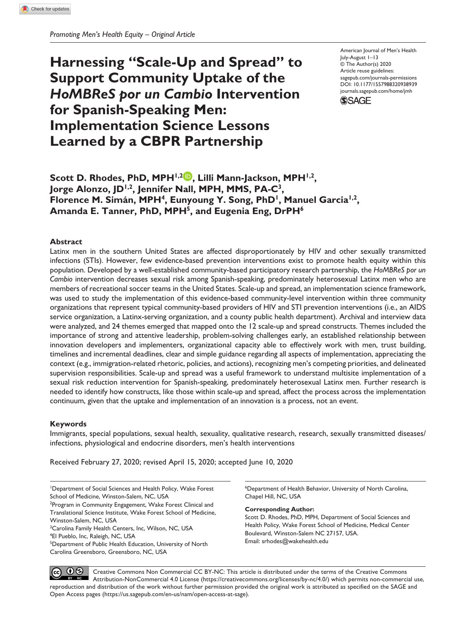# **Harnessing "Scale-Up and Spread" to Support Community Uptake of the**  *HoMBReS por un Cambio* **Intervention for Spanish-Speaking Men: Implementation Science Lessons Learned by a CBPR Partnership**

DOI: 10.1177/1557988320938939 American Journal of Men's Health July-August 1–13 © The Author(s) 2020 Article reuse guidelines: [sagepub.com/journals-permissions](https://us.sagepub.com/en-us/journals-permissions) [journals.sagepub.com/home/jmh](http://journals.sagepub.com/home/jmh)



Scott D. Rhodes, PhD, MPH<sup>1,2</sup> , Lilli Mann-Jackson, MPH<sup>1,2</sup>, Jorge Alonzo, JD<sup>1,2</sup>, Jennifer Nall, MPH, MMS, PA-C<sup>3</sup>, Florence M. Simán, MPH<sup>4</sup>, Eunyoung Y. Song, PhD<sup>1</sup>, Manuel Garcia<sup>1,2</sup>, Amanda E. Tanner, PhD, MPH<sup>5</sup>, and Eugenia Eng, DrPH<sup>6</sup>

#### **Abstract**

Latinx men in the southern United States are affected disproportionately by HIV and other sexually transmitted infections (STIs). However, few evidence-based prevention interventions exist to promote health equity within this population. Developed by a well-established community-based participatory research partnership, the *HoMBReS por un Cambio* intervention decreases sexual risk among Spanish-speaking, predominately heterosexual Latinx men who are members of recreational soccer teams in the United States. Scale-up and spread, an implementation science framework, was used to study the implementation of this evidence-based community-level intervention within three community organizations that represent typical community-based providers of HIV and STI prevention interventions (i.e., an AIDS service organization, a Latinx-serving organization, and a county public health department). Archival and interview data were analyzed, and 24 themes emerged that mapped onto the 12 scale-up and spread constructs. Themes included the importance of strong and attentive leadership, problem-solving challenges early, an established relationship between innovation developers and implementers, organizational capacity able to effectively work with men, trust building, timelines and incremental deadlines, clear and simple guidance regarding all aspects of implementation, appreciating the context (e.g., immigration-related rhetoric, policies, and actions), recognizing men's competing priorities, and delineated supervision responsibilities. Scale-up and spread was a useful framework to understand multisite implementation of a sexual risk reduction intervention for Spanish-speaking, predominately heterosexual Latinx men. Further research is needed to identify how constructs, like those within scale-up and spread, affect the process across the implementation continuum, given that the uptake and implementation of an innovation is a process, not an event.

#### **Keywords**

Immigrants, special populations, sexual health, sexuality, qualitative research, research, sexually transmitted diseases/ infections, physiological and endocrine disorders, men's health interventions

Received February 27, 2020; revised April 15, 2020; accepted June 10, 2020

6 Department of Health Behavior, University of North Carolina, Chapel Hill, NC, USA

**Corresponding Author:**

Scott D. Rhodes, PhD, MPH, Department of Social Sciences and Health Policy, Wake Forest School of Medicine, Medical Center Boulevard, Winston-Salem NC 27157, USA. Email: [srhodes@wakehealth.edu](mailto:srhodes@wakehealth.edu)

Creative Commons Non Commercial CC BY-NC: This article is distributed under the terms of the Creative Commons<br>Artribution-NonCommercial 4.0 License (https://creativecommons.org/licenses/by-nc/4.0/) which permits non-commer Attribution-NonCommercial 4.0 License (https://creativecommons.org/licenses/by-nc/4.0/) which permits non-commercial use, reproduction and distribution of the work without further permission provided the original work is attributed as specified on the SAGE and Open Access pages (https://us.sagepub.com/en-us/nam/open-access-at-sage).

Department of Social Sciences and Health Policy, Wake Forest School of Medicine, Winston-Salem, NC, USA

<sup>&</sup>lt;sup>2</sup>Program in Community Engagement, Wake Forest Clinical and Translational Science Institute, Wake Forest School of Medicine, Winston-Salem, NC, USA

<sup>&</sup>lt;sup>3</sup>Carolina Family Health Centers, Inc, Wilson, NC, USA

<sup>4</sup> El Pueblo, Inc, Raleigh, NC, USA

<sup>&</sup>lt;sup>5</sup>Department of Public Health Education, University of North Carolina Greensboro, Greensboro, NC, USA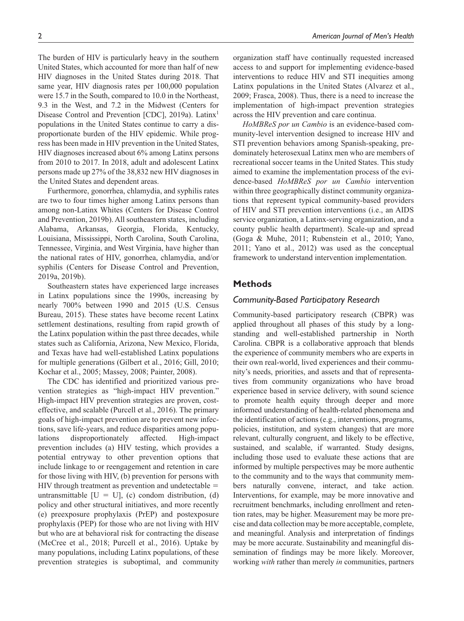The burden of HIV is particularly heavy in the southern United States, which accounted for more than half of new HIV diagnoses in the United States during 2018. That same year, HIV diagnosis rates per 100,000 population were 15.7 in the South, compared to 10.0 in the Northeast, 9.3 in the West, and 7.2 in the Midwest (Centers for Disease Control and Prevention [CDC], 2019a). Latinx<sup>1</sup> populations in the United States continue to carry a disproportionate burden of the HIV epidemic. While progress has been made in HIV prevention in the United States, HIV diagnoses increased about 6% among Latinx persons from 2010 to 2017. In 2018, adult and adolescent Latinx persons made up 27% of the 38,832 new HIV diagnoses in the United States and dependent areas.

Furthermore, gonorrhea, chlamydia, and syphilis rates are two to four times higher among Latinx persons than among non-Latinx Whites (Centers for Disease Control and Prevention, 2019b). All southeastern states, including Alabama, Arkansas, Georgia, Florida, Kentucky, Louisiana, Mississippi, North Carolina, South Carolina, Tennessee, Virginia, and West Virginia, have higher than the national rates of HIV, gonorrhea, chlamydia, and/or syphilis (Centers for Disease Control and Prevention, 2019a, 2019b).

Southeastern states have experienced large increases in Latinx populations since the 1990s, increasing by nearly 700% between 1990 and 2015 (U.S. Census Bureau, 2015). These states have become recent Latinx settlement destinations, resulting from rapid growth of the Latinx population within the past three decades, while states such as California, Arizona, New Mexico, Florida, and Texas have had well-established Latinx populations for multiple generations (Gilbert et al., 2016; Gill, 2010; Kochar et al., 2005; Massey, 2008; Painter, 2008).

The CDC has identified and prioritized various prevention strategies as "high-impact HIV prevention." High-impact HIV prevention strategies are proven, costeffective, and scalable (Purcell et al., 2016). The primary goals of high-impact prevention are to prevent new infections, save life-years, and reduce disparities among populations disproportionately affected. High-impact prevention includes (a) HIV testing, which provides a potential entryway to other prevention options that include linkage to or reengagement and retention in care for those living with HIV, (b) prevention for persons with  $HIV$  through treatment as prevention and undetectable  $=$ untransmittable  $[U = U]$ , (c) condom distribution, (d) policy and other structural initiatives, and more recently (e) preexposure prophylaxis (PrEP) and postexposure prophylaxis (PEP) for those who are not living with HIV but who are at behavioral risk for contracting the disease (McCree et al., 2018; Purcell et al., 2016). Uptake by many populations, including Latinx populations, of these prevention strategies is suboptimal, and community

organization staff have continually requested increased access to and support for implementing evidence-based interventions to reduce HIV and STI inequities among Latinx populations in the United States (Alvarez et al., 2009; Frasca, 2008). Thus, there is a need to increase the implementation of high-impact prevention strategies across the HIV prevention and care continua.

*HoMBReS por un Cambio* is an evidence-based community-level intervention designed to increase HIV and STI prevention behaviors among Spanish-speaking, predominately heterosexual Latinx men who are members of recreational soccer teams in the United States. This study aimed to examine the implementation process of the evidence-based *HoMBReS por un Cambio* intervention within three geographically distinct community organizations that represent typical community-based providers of HIV and STI prevention interventions (i.e., an AIDS service organization, a Latinx-serving organization, and a county public health department). Scale-up and spread (Goga & Muhe, 2011; Rubenstein et al., 2010; Yano, 2011; Yano et al., 2012) was used as the conceptual framework to understand intervention implementation.

#### **Methods**

#### *Community-Based Participatory Research*

Community-based participatory research (CBPR) was applied throughout all phases of this study by a longstanding and well-established partnership in North Carolina. CBPR is a collaborative approach that blends the experience of community members who are experts in their own real-world, lived experiences and their community's needs, priorities, and assets and that of representatives from community organizations who have broad experience based in service delivery, with sound science to promote health equity through deeper and more informed understanding of health-related phenomena and the identification of actions (e.g., interventions, programs, policies, institution, and system changes) that are more relevant, culturally congruent, and likely to be effective, sustained, and scalable, if warranted. Study designs, including those used to evaluate these actions that are informed by multiple perspectives may be more authentic to the community and to the ways that community members naturally convene, interact, and take action. Interventions, for example, may be more innovative and recruitment benchmarks, including enrollment and retention rates, may be higher. Measurement may be more precise and data collection may be more acceptable, complete, and meaningful. Analysis and interpretation of findings may be more accurate. Sustainability and meaningful dissemination of findings may be more likely. Moreover, working *with* rather than merely *in* communities, partners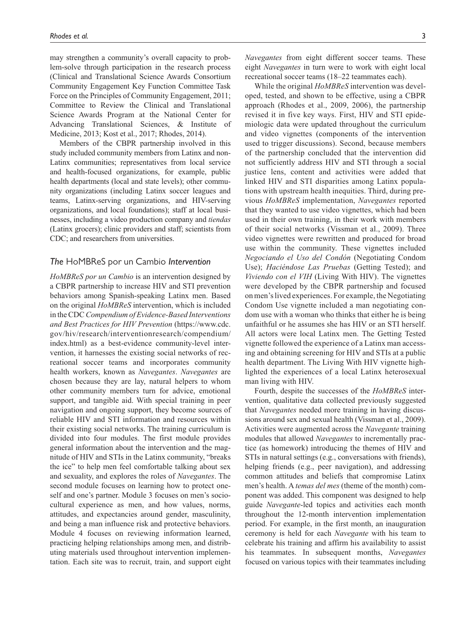may strengthen a community's overall capacity to problem-solve through participation in the research process (Clinical and Translational Science Awards Consortium Community Engagement Key Function Committee Task Force on the Principles of Community Engagement, 2011; Committee to Review the Clinical and Translational Science Awards Program at the National Center for Advancing Translational Sciences, & Institute of Medicine, 2013; Kost et al., 2017; Rhodes, 2014).

Members of the CBPR partnership involved in this study included community members from Latinx and non-Latinx communities; representatives from local service and health-focused organizations, for example, public health departments (local and state levels); other community organizations (including Latinx soccer leagues and teams, Latinx-serving organizations, and HIV-serving organizations, and local foundations); staff at local businesses, including a video production company and *tiendas* (Latinx grocers); clinic providers and staff; scientists from CDC; and researchers from universities.

#### *The* HoMBReS por un Cambio *Intervention*

*HoMBReS por un Cambio* is an intervention designed by a CBPR partnership to increase HIV and STI prevention behaviors among Spanish-speaking Latinx men. Based on the original *HoMBReS* intervention, which is included in the CDC *Compendium of Evidence-Based Interventions and Best Practices for HIV Prevention* [\(https://www.cdc.](https://www.cdc.gov/hiv/research/interventionresearch/compendium/index.html) [gov/hiv/research/interventionresearch/compendium/](https://www.cdc.gov/hiv/research/interventionresearch/compendium/index.html) [index.html](https://www.cdc.gov/hiv/research/interventionresearch/compendium/index.html)) as a best-evidence community-level intervention, it harnesses the existing social networks of recreational soccer teams and incorporates community health workers, known as *Navegantes*. *Navegantes* are chosen because they are lay, natural helpers to whom other community members turn for advice, emotional support, and tangible aid. With special training in peer navigation and ongoing support, they become sources of reliable HIV and STI information and resources within their existing social networks. The training curriculum is divided into four modules. The first module provides general information about the intervention and the magnitude of HIV and STIs in the Latinx community, "breaks the ice" to help men feel comfortable talking about sex and sexuality, and explores the roles of *Navegantes*. The second module focuses on learning how to protect oneself and one's partner. Module 3 focuses on men's sociocultural experience as men, and how values, norms, attitudes, and expectancies around gender, masculinity, and being a man influence risk and protective behaviors. Module 4 focuses on reviewing information learned, practicing helping relationships among men, and distributing materials used throughout intervention implementation. Each site was to recruit, train, and support eight

*Navegantes* from eight different soccer teams. These eight *Navegantes* in turn were to work with eight local recreational soccer teams (18–22 teammates each).

While the original *HoMBReS* intervention was developed, tested, and shown to be effective, using a CBPR approach (Rhodes et al., 2009, 2006), the partnership revised it in five key ways. First, HIV and STI epidemiologic data were updated throughout the curriculum and video vignettes (components of the intervention used to trigger discussions). Second, because members of the partnership concluded that the intervention did not sufficiently address HIV and STI through a social justice lens, content and activities were added that linked HIV and STI disparities among Latinx populations with upstream health inequities. Third, during previous *HoMBReS* implementation, *Navegantes* reported that they wanted to use video vignettes, which had been used in their own training, in their work with members of their social networks (Vissman et al., 2009). Three video vignettes were rewritten and produced for broad use within the community. These vignettes included *Negociando el Uso del Condón* (Negotiating Condom Use); *Haciéndose Las Pruebas* (Getting Tested); and *Viviendo con el VIH* (Living With HIV). The vignettes were developed by the CBPR partnership and focused on men's lived experiences. For example, the Negotiating Condom Use vignette included a man negotiating condom use with a woman who thinks that either he is being unfaithful or he assumes she has HIV or an STI herself. All actors were local Latinx men. The Getting Tested vignette followed the experience of a Latinx man accessing and obtaining screening for HIV and STIs at a public health department. The Living With HIV vignette highlighted the experiences of a local Latinx heterosexual man living with HIV.

Fourth, despite the successes of the *HoMBReS* intervention, qualitative data collected previously suggested that *Navegantes* needed more training in having discussions around sex and sexual health (Vissman et al., 2009). Activities were augmented across the *Navegante* training modules that allowed *Navegantes* to incrementally practice (as homework) introducing the themes of HIV and STIs in natural settings (e.g., conversations with friends), helping friends (e.g., peer navigation), and addressing common attitudes and beliefs that compromise Latinx men's health. A *temas del mes* (theme of the month) component was added. This component was designed to help guide *Navegante*-led topics and activities each month throughout the 12-month intervention implementation period. For example, in the first month, an inauguration ceremony is held for each *Navegante* with his team to celebrate his training and affirm his availability to assist his teammates. In subsequent months, *Navegantes* focused on various topics with their teammates including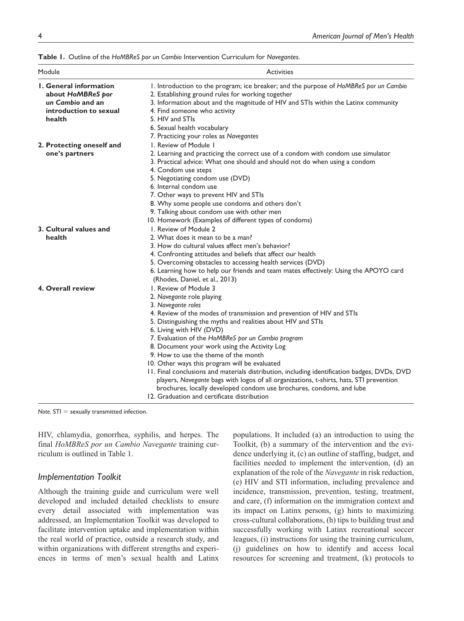| Module                                                                                                     | <b>Activities</b>                                                                                                                                                                                                                                                                                                                                                                                                                                                                                                                                                                                                                                                                                                                                              |
|------------------------------------------------------------------------------------------------------------|----------------------------------------------------------------------------------------------------------------------------------------------------------------------------------------------------------------------------------------------------------------------------------------------------------------------------------------------------------------------------------------------------------------------------------------------------------------------------------------------------------------------------------------------------------------------------------------------------------------------------------------------------------------------------------------------------------------------------------------------------------------|
| <b>I.</b> General information<br>about HoMBReS por<br>un Cambio and an<br>introduction to sexual<br>health | I. Introduction to the program; ice breaker; and the purpose of HoMBReS por un Cambio<br>2. Establishing ground rules for working together<br>3. Information about and the magnitude of HIV and STIs within the Latinx community<br>4. Find someone who activity<br>5. HIV and STIs<br>6. Sexual health vocabulary<br>7. Practicing your roles as Navegantes                                                                                                                                                                                                                                                                                                                                                                                                   |
| 2. Protecting oneself and<br>one's partners                                                                | I. Review of Module I<br>2. Learning and practicing the correct use of a condom with condom use simulator<br>3. Practical advice: What one should and should not do when using a condom<br>4. Condom use steps<br>5. Negotiating condom use (DVD)<br>6. Internal condom use<br>7. Other ways to prevent HIV and STIs<br>8. Why some people use condoms and others don't<br>9. Talking about condom use with other men<br>10. Homework (Examples of different types of condoms)                                                                                                                                                                                                                                                                                 |
| 3. Cultural values and<br>health                                                                           | I. Review of Module 2<br>2. What does it mean to be a man?<br>3. How do cultural values affect men's behavior?<br>4. Confronting attitudes and beliefs that affect our health<br>5. Overcoming obstacles to accessing health services (DVD)<br>6. Learning how to help our friends and team mates effectively: Using the APOYO card<br>(Rhodes, Daniel, et al., 2013)                                                                                                                                                                                                                                                                                                                                                                                          |
| 4. Overall review                                                                                          | 1. Review of Module 3<br>2. Navegante role playing<br>3. Navegante roles<br>4. Review of the modes of transmission and prevention of HIV and STIs<br>5. Distinguishing the myths and realities about HIV and STIs<br>6. Living with HIV (DVD)<br>7. Evaluation of the HoMBReS por un Cambio program<br>8. Document your work using the Activity Log<br>9. How to use the theme of the month<br>10. Other ways this program will be evaluated<br>11. Final conclusions and materials distribution, including identification badges, DVDs, DVD<br>players, Navegante bags with logos of all organizations, t-shirts, hats, STI prevention<br>brochures, locally developed condom use brochures, condoms, and lube<br>12. Graduation and certificate distribution |

**Table 1.** Outline of the *HoMBReS por un Cambio* Intervention Curriculum for *Navegantes*.

*Note*. STI = sexually transmitted infection.

HIV, chlamydia, gonorrhea, syphilis, and herpes. The final *HoMBReS por un Cambio Navegante* training curriculum is outlined in Table 1.

#### *Implementation Toolkit*

Although the training guide and curriculum were well developed and included detailed checklists to ensure every detail associated with implementation was addressed, an Implementation Toolkit was developed to facilitate intervention uptake and implementation within the real world of practice, outside a research study, and within organizations with different strengths and experiences in terms of men's sexual health and Latinx populations. It included (a) an introduction to using the Toolkit, (b) a summary of the intervention and the evidence underlying it, (c) an outline of staffing, budget, and facilities needed to implement the intervention, (d) an explanation of the role of the *Navegante* in risk reduction, (e) HIV and STI information, including prevalence and incidence, transmission, prevention, testing, treatment, and care, (f) information on the immigration context and its impact on Latinx persons, (g) hints to maximizing cross-cultural collaborations, (h) tips to building trust and successfully working with Latinx recreational soccer leagues, (i) instructions for using the training curriculum, (j) guidelines on how to identify and access local resources for screening and treatment, (k) protocols to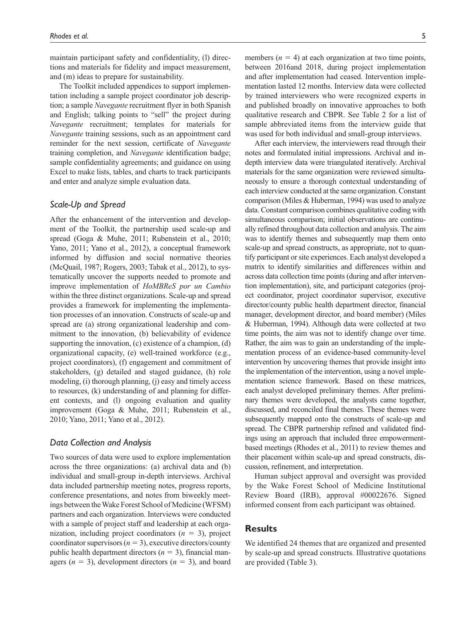maintain participant safety and confidentiality, (l) directions and materials for fidelity and impact measurement, and (m) ideas to prepare for sustainability.

The Toolkit included appendices to support implementation including a sample project coordinator job description; a sample *Navegante* recruitment flyer in both Spanish and English; talking points to "sell" the project during *Navegante* recruitment; templates for materials for *Navegante* training sessions, such as an appointment card reminder for the next session, certificate of *Navegante* training completion, and *Navegante* identification badge; sample confidentiality agreements; and guidance on using Excel to make lists, tables, and charts to track participants and enter and analyze simple evaluation data.

#### *Scale-Up and Spread*

After the enhancement of the intervention and development of the Toolkit, the partnership used scale-up and spread (Goga & Muhe, 2011; Rubenstein et al., 2010; Yano, 2011; Yano et al., 2012), a conceptual framework informed by diffusion and social normative theories (McQuail, 1987; Rogers, 2003; Tabak et al., 2012), to systematically uncover the supports needed to promote and improve implementation of *HoMBReS por un Cambio* within the three distinct organizations. Scale-up and spread provides a framework for implementing the implementation processes of an innovation. Constructs of scale-up and spread are (a) strong organizational leadership and commitment to the innovation, (b) believability of evidence supporting the innovation, (c) existence of a champion, (d) organizational capacity, (e) well-trained workforce (e.g., project coordinators), (f) engagement and commitment of stakeholders, (g) detailed and staged guidance, (h) role modeling, (i) thorough planning, (j) easy and timely access to resources, (k) understanding of and planning for different contexts, and (l) ongoing evaluation and quality improvement (Goga & Muhe, 2011; Rubenstein et al., 2010; Yano, 2011; Yano et al., 2012).

#### *Data Collection and Analysis*

Two sources of data were used to explore implementation across the three organizations: (a) archival data and (b) individual and small-group in-depth interviews. Archival data included partnership meeting notes, progress reports, conference presentations, and notes from biweekly meetings between the Wake Forest School of Medicine (WFSM) partners and each organization. Interviews were conducted with a sample of project staff and leadership at each organization, including project coordinators (*n* = 3), project coordinator supervisors  $(n = 3)$ , executive directors/county public health department directors  $(n = 3)$ , financial managers  $(n = 3)$ , development directors  $(n = 3)$ , and board members  $(n = 4)$  at each organization at two time points, between 2016and 2018, during project implementation and after implementation had ceased. Intervention implementation lasted 12 months. Interview data were collected by trained interviewers who were recognized experts in and published broadly on innovative approaches to both qualitative research and CBPR. See Table 2 for a list of sample abbreviated items from the interview guide that was used for both individual and small-group interviews.

After each interview, the interviewers read through their notes and formulated initial impressions. Archival and indepth interview data were triangulated iteratively. Archival materials for the same organization were reviewed simultaneously to ensure a thorough contextual understanding of each interview conducted at the same organization. Constant comparison (Miles & Huberman, 1994) was used to analyze data. Constant comparison combines qualitative coding with simultaneous comparison; initial observations are continually refined throughout data collection and analysis. The aim was to identify themes and subsequently map them onto scale-up and spread constructs, as appropriate, not to quantify participant or site experiences. Each analyst developed a matrix to identify similarities and differences within and across data collection time points (during and after intervention implementation), site, and participant categories (project coordinator, project coordinator supervisor, executive director/county public health department director, financial manager, development director, and board member) (Miles & Huberman, 1994). Although data were collected at two time points, the aim was not to identify change over time. Rather, the aim was to gain an understanding of the implementation process of an evidence-based community-level intervention by uncovering themes that provide insight into the implementation of the intervention, using a novel implementation science framework. Based on these matrices, each analyst developed preliminary themes. After preliminary themes were developed, the analysts came together, discussed, and reconciled final themes. These themes were subsequently mapped onto the constructs of scale-up and spread. The CBPR partnership refined and validated findings using an approach that included three empowermentbased meetings (Rhodes et al., 2011) to review themes and their placement within scale-up and spread constructs, discussion, refinement, and interpretation.

Human subject approval and oversight was provided by the Wake Forest School of Medicine Institutional Review Board (IRB), approval #00022676. Signed informed consent from each participant was obtained.

#### **Results**

We identified 24 themes that are organized and presented by scale-up and spread constructs. Illustrative quotations are provided (Table 3).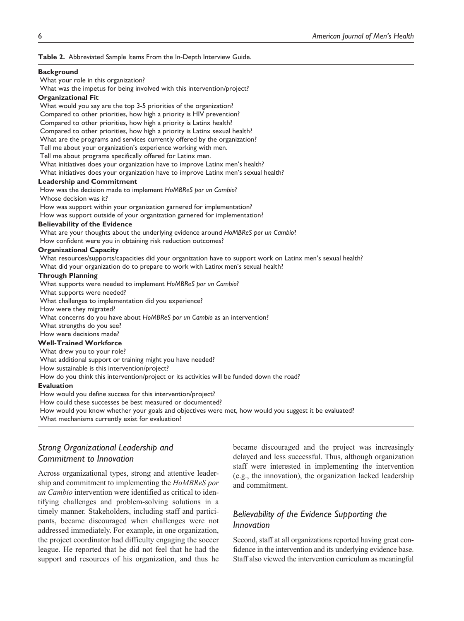**Table 2.** Abbreviated Sample Items From the In-Depth Interview Guide.

#### **Background**

What your role in this organization?

 What was the impetus for being involved with this intervention/project? **Organizational Fit**

 What would you say are the top 3-5 priorities of the organization? Compared to other priorities, how high a priority is HIV prevention? Compared to other priorities, how high a priority is Latinx health? Compared to other priorities, how high a priority is Latinx sexual health? What are the programs and services currently offered by the organization? Tell me about your organization's experience working with men. Tell me about programs specifically offered for Latinx men.

What initiatives does your organization have to improve Latinx men's health?

What initiatives does your organization have to improve Latinx men's sexual health?

#### **Leadership and Commitment**

How was the decision made to implement *HoMBReS por un Cambio*?

Whose decision was it?

How was support within your organization garnered for implementation?

How was support outside of your organization garnered for implementation?

#### **Believability of the Evidence**

What are your thoughts about the underlying evidence around *HoMBReS por un Cambio*?

How confident were you in obtaining risk reduction outcomes?

#### **Organizational Capacity**

What resources/supports/capacities did your organization have to support work on Latinx men's sexual health?

What did your organization do to prepare to work with Latinx men's sexual health?

#### **Through Planning**

What supports were needed to implement *HoMBReS por un Cambio*?

What supports were needed?

What challenges to implementation did you experience?

How were they migrated?

What concerns do you have about *HoMBReS por un Cambio* as an intervention?

What strengths do you see?

How were decisions made?

#### **Well-Trained Workforce**

 What drew you to your role? What additional support or training might you have needed?

How sustainable is this intervention/project?

How do you think this intervention/project or its activities will be funded down the road?

#### **Evaluation**

 How would you define success for this intervention/project? How could these successes be best measured or documented? How would you know whether your goals and objectives were met, how would you suggest it be evaluated? What mechanisms currently exist for evaluation?

# *Strong Organizational Leadership and Commitment to Innovation*

Across organizational types, strong and attentive leadership and commitment to implementing the *HoMBReS por un Cambio* intervention were identified as critical to identifying challenges and problem-solving solutions in a timely manner. Stakeholders, including staff and participants, became discouraged when challenges were not addressed immediately. For example, in one organization, the project coordinator had difficulty engaging the soccer league. He reported that he did not feel that he had the support and resources of his organization, and thus he

became discouraged and the project was increasingly delayed and less successful. Thus, although organization staff were interested in implementing the intervention (e.g., the innovation), the organization lacked leadership and commitment.

# *Believability of the Evidence Supporting the Innovation*

Second, staff at all organizations reported having great confidence in the intervention and its underlying evidence base. Staff also viewed the intervention curriculum as meaningful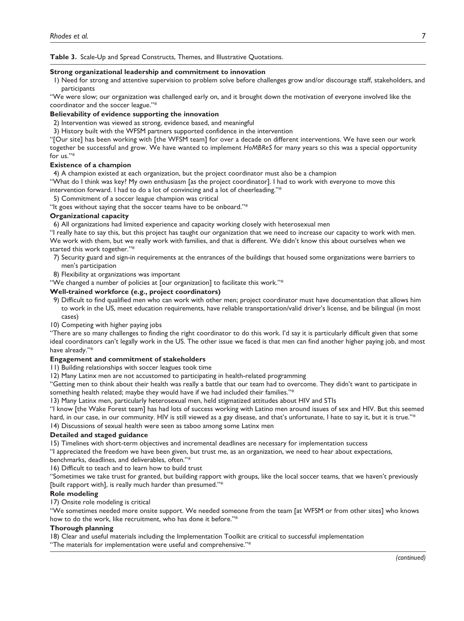**Table 3.** Scale-Up and Spread Constructs, Themes, and Illustrative Quotations.

#### **Strong organizational leadership and commitment to innovation**

1) Need for strong and attentive supervision to problem solve before challenges grow and/or discourage staff, stakeholders, and participants

"We were slow; our organization was challenged early on, and it brought down the motivation of everyone involved like the coordinator and the soccer league."\*

#### **Believability of evidence supporting the innovation**

2) Intervention was viewed as strong, evidence based, and meaningful

3) History built with the WFSM partners supported confidence in the intervention

"[Our site] has been working with [the WFSM team] for over a decade on different interventions. We have seen our work together be successful and grow. We have wanted to implement *HoMBReS* for many years so this was a special opportunity for us."\*

#### **Existence of a champion**

4) A champion existed at each organization, but the project coordinator must also be a champion

"What do I think was key? My own enthusiasm [as the project coordinator]. I had to work with everyone to move this intervention forward. I had to do a lot of convincing and a lot of cheerleading."\*

5) Commitment of a soccer league champion was critical

"It goes without saying that the soccer teams have to be onboard."\*

#### **Organizational capacity**

6) All organizations had limited experience and capacity working closely with heterosexual men

"I really hate to say this, but this project has taught our organization that we need to increase our capacity to work with men. We work with them, but we really work with families, and that is different. We didn't know this about ourselves when we started this work together."\*

- 7) Security guard and sign-in requirements at the entrances of the buildings that housed some organizations were barriers to men's participation
- 8) Flexibility at organizations was important
- "We changed a number of policies at [our organization] to facilitate this work."\*

#### **Well-trained workforce (e.g., project coordinators)**

- 9) Difficult to find qualified men who can work with other men; project coordinator must have documentation that allows him to work in the US, meet education requirements, have reliable transportation/valid driver's license, and be bilingual (in most cases)
- 10) Competing with higher paying jobs

"There are so many challenges to finding the right coordinator to do this work. I'd say it is particularly difficult given that some ideal coordinators can't legally work in the US. The other issue we faced is that men can find another higher paying job, and most have already."\*

#### **Engagement and commitment of stakeholders**

11) Building relationships with soccer leagues took time

12) Many Latinx men are not accustomed to participating in health-related programming

"Getting men to think about their health was really a battle that our team had to overcome. They didn't want to participate in something health related; maybe they would have if we had included their families."\*

13) Many Latinx men, particularly heterosexual men, held stigmatized attitudes about HIV and STIs

"I know [the Wake Forest team] has had lots of success working with Latino men around issues of sex and HIV. But this seemed hard, in our case, in our community. HIV is still viewed as a gay disease, and that's unfortunate, I hate to say it, but it is true."\*

14) Discussions of sexual health were seen as taboo among some Latinx men

#### **Detailed and staged guidance**

15) Timelines with short-term objectives and incremental deadlines are necessary for implementation success

"I appreciated the freedom we have been given, but trust me, as an organization, we need to hear about expectations,

benchmarks, deadlines, and deliverables, often."\*

16) Difficult to teach and to learn how to build trust

"Sometimes we take trust for granted, but building rapport with groups, like the local soccer teams, that we haven't previously [built rapport with], is really much harder than presumed."\*

#### **Role modeling**

17) Onsite role modeling is critical

"We sometimes needed more onsite support. We needed someone from the team [at WFSM or from other sites] who knows how to do the work, like recruitment, who has done it before."\*

#### **Thorough planning**

18) Clear and useful materials including the Implementation Toolkit are critical to successful implementation "The materials for implementation were useful and comprehensive."\*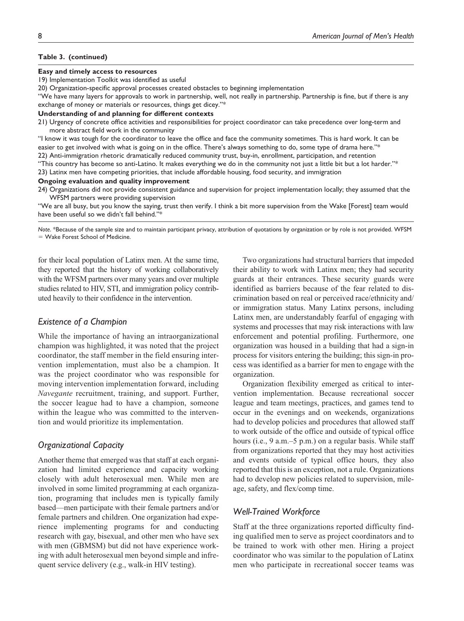#### **Table 3. (continued)**

#### **Easy and timely access to resources**

19) Implementation Toolkit was identified as useful

20) Organization-specific approval processes created obstacles to beginning implementation

"We have many layers for approvals to work in partnership, well, not really in partnership. Partnership is fine, but if there is any exchange of money or materials or resources, things get dicey."\*

#### **Understanding of and planning for different contexts**

21) Urgency of concrete office activities and responsibilities for project coordinator can take precedence over long-term and more abstract field work in the community

"I know it was tough for the coordinator to leave the office and face the community sometimes. This is hard work. It can be easier to get involved with what is going on in the office. There's always something to do, some type of drama here."\*

22) Anti-immigration rhetoric dramatically reduced community trust, buy-in, enrollment, participation, and retention

"This country has become so anti-Latino. It makes everything we do in the community not just a little bit but a lot harder."\*

23) Latinx men have competing priorities, that include affordable housing, food security, and immigration

#### **Ongoing evaluation and quality improvement**

24) Organizations did not provide consistent guidance and supervision for project implementation locally; they assumed that the WFSM partners were providing supervision

"We are all busy, but you know the saying, trust then verify. I think a bit more supervision from the Wake [Forest] team would have been useful so we didn't fall behind."

*Note*. \*Because of the sample size and to maintain participant privacy, attribution of quotations by organization or by role is not provided. WFSM = Wake Forest School of Medicine.

for their local population of Latinx men. At the same time, they reported that the history of working collaboratively with the WFSM partners over many years and over multiple studies related to HIV, STI, and immigration policy contributed heavily to their confidence in the intervention.

#### *Existence of a Champion*

While the importance of having an intraorganizational champion was highlighted, it was noted that the project coordinator, the staff member in the field ensuring intervention implementation, must also be a champion. It was the project coordinator who was responsible for moving intervention implementation forward, including *Navegante* recruitment, training, and support. Further, the soccer league had to have a champion, someone within the league who was committed to the intervention and would prioritize its implementation.

#### *Organizational Capacity*

Another theme that emerged was that staff at each organization had limited experience and capacity working closely with adult heterosexual men. While men are involved in some limited programming at each organization, programing that includes men is typically family based—men participate with their female partners and/or female partners and children. One organization had experience implementing programs for and conducting research with gay, bisexual, and other men who have sex with men (GBMSM) but did not have experience working with adult heterosexual men beyond simple and infrequent service delivery (e.g., walk-in HIV testing).

Two organizations had structural barriers that impeded their ability to work with Latinx men; they had security guards at their entrances. These security guards were identified as barriers because of the fear related to discrimination based on real or perceived race/ethnicity and/ or immigration status. Many Latinx persons, including Latinx men, are understandably fearful of engaging with systems and processes that may risk interactions with law enforcement and potential profiling. Furthermore, one organization was housed in a building that had a sign-in process for visitors entering the building; this sign-in process was identified as a barrier for men to engage with the organization.

Organization flexibility emerged as critical to intervention implementation. Because recreational soccer league and team meetings, practices, and games tend to occur in the evenings and on weekends, organizations had to develop policies and procedures that allowed staff to work outside of the office and outside of typical office hours (i.e., 9 a.m.–5 p.m.) on a regular basis. While staff from organizations reported that they may host activities and events outside of typical office hours, they also reported that this is an exception, not a rule. Organizations had to develop new policies related to supervision, mileage, safety, and flex/comp time.

#### *Well-Trained Workforce*

Staff at the three organizations reported difficulty finding qualified men to serve as project coordinators and to be trained to work with other men. Hiring a project coordinator who was similar to the population of Latinx men who participate in recreational soccer teams was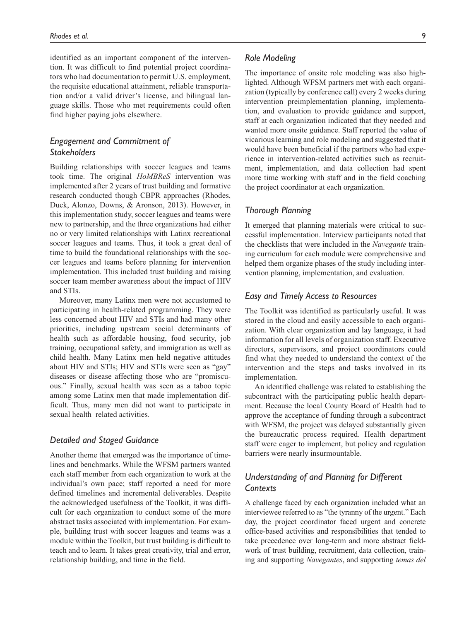identified as an important component of the intervention. It was difficult to find potential project coordinators who had documentation to permit U.S. employment, the requisite educational attainment, reliable transportation and/or a valid driver's license, and bilingual language skills. Those who met requirements could often find higher paying jobs elsewhere.

# *Engagement and Commitment of Stakeholders*

Building relationships with soccer leagues and teams took time. The original *HoMBReS* intervention was implemented after 2 years of trust building and formative research conducted though CBPR approaches (Rhodes, Duck, Alonzo, Downs, & Aronson, 2013). However, in this implementation study, soccer leagues and teams were new to partnership, and the three organizations had either no or very limited relationships with Latinx recreational soccer leagues and teams. Thus, it took a great deal of time to build the foundational relationships with the soccer leagues and teams before planning for intervention implementation. This included trust building and raising soccer team member awareness about the impact of HIV and STIs.

Moreover, many Latinx men were not accustomed to participating in health-related programming. They were less concerned about HIV and STIs and had many other priorities, including upstream social determinants of health such as affordable housing, food security, job training, occupational safety, and immigration as well as child health. Many Latinx men held negative attitudes about HIV and STIs; HIV and STIs were seen as "gay" diseases or disease affecting those who are "promiscuous." Finally, sexual health was seen as a taboo topic among some Latinx men that made implementation difficult. Thus, many men did not want to participate in sexual health–related activities.

#### *Detailed and Staged Guidance*

Another theme that emerged was the importance of timelines and benchmarks. While the WFSM partners wanted each staff member from each organization to work at the individual's own pace; staff reported a need for more defined timelines and incremental deliverables. Despite the acknowledged usefulness of the Toolkit, it was difficult for each organization to conduct some of the more abstract tasks associated with implementation. For example, building trust with soccer leagues and teams was a module within the Toolkit, but trust building is difficult to teach and to learn. It takes great creativity, trial and error, relationship building, and time in the field.

### *Role Modeling*

The importance of onsite role modeling was also highlighted. Although WFSM partners met with each organization (typically by conference call) every 2 weeks during intervention preimplementation planning, implementation, and evaluation to provide guidance and support, staff at each organization indicated that they needed and wanted more onsite guidance. Staff reported the value of vicarious learning and role modeling and suggested that it would have been beneficial if the partners who had experience in intervention-related activities such as recruitment, implementation, and data collection had spent more time working with staff and in the field coaching the project coordinator at each organization.

#### *Thorough Planning*

It emerged that planning materials were critical to successful implementation. Interview participants noted that the checklists that were included in the *Navegante* training curriculum for each module were comprehensive and helped them organize phases of the study including intervention planning, implementation, and evaluation.

#### *Easy and Timely Access to Resources*

The Toolkit was identified as particularly useful. It was stored in the cloud and easily accessible to each organization. With clear organization and lay language, it had information for all levels of organization staff. Executive directors, supervisors, and project coordinators could find what they needed to understand the context of the intervention and the steps and tasks involved in its implementation.

An identified challenge was related to establishing the subcontract with the participating public health department. Because the local County Board of Health had to approve the acceptance of funding through a subcontract with WFSM, the project was delayed substantially given the bureaucratic process required. Health department staff were eager to implement, but policy and regulation barriers were nearly insurmountable.

# *Understanding of and Planning for Different Contexts*

A challenge faced by each organization included what an interviewee referred to as "the tyranny of the urgent." Each day, the project coordinator faced urgent and concrete office-based activities and responsibilities that tended to take precedence over long-term and more abstract fieldwork of trust building, recruitment, data collection, training and supporting *Navegantes*, and supporting *temas del*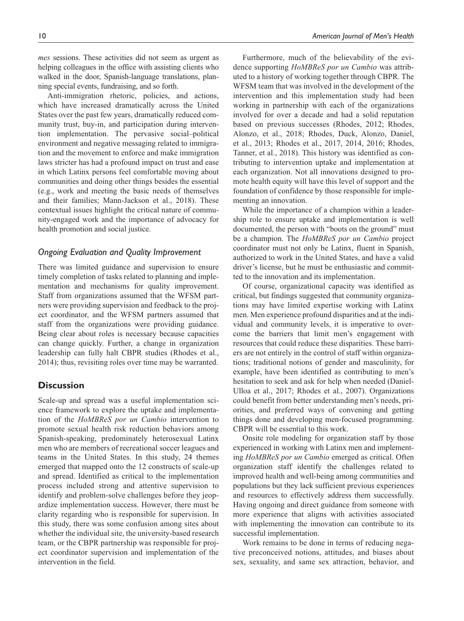*mes* sessions. These activities did not seem as urgent as helping colleagues in the office with assisting clients who walked in the door, Spanish-language translations, planning special events, fundraising, and so forth.

Anti-immigration rhetoric, policies, and actions, which have increased dramatically across the United States over the past few years, dramatically reduced community trust, buy-in, and participation during intervention implementation. The pervasive social–political environment and negative messaging related to immigration and the movement to enforce and make immigration laws stricter has had a profound impact on trust and ease in which Latinx persons feel comfortable moving about communities and doing other things besides the essential (e.g., work and meeting the basic needs of themselves and their families; Mann-Jackson et al., 2018). These contextual issues highlight the critical nature of community-engaged work and the importance of advocacy for health promotion and social justice.

#### *Ongoing Evaluation and Quality Improvement*

There was limited guidance and supervision to ensure timely completion of tasks related to planning and implementation and mechanisms for quality improvement. Staff from organizations assumed that the WFSM partners were providing supervision and feedback to the project coordinator, and the WFSM partners assumed that staff from the organizations were providing guidance. Being clear about roles is necessary because capacities can change quickly. Further, a change in organization leadership can fully halt CBPR studies (Rhodes et al., 2014); thus, revisiting roles over time may be warranted.

## **Discussion**

Scale-up and spread was a useful implementation science framework to explore the uptake and implementation of the *HoMBReS por un Cambio* intervention to promote sexual health risk reduction behaviors among Spanish-speaking, predominately heterosexual Latinx men who are members of recreational soccer leagues and teams in the United States. In this study, 24 themes emerged that mapped onto the 12 constructs of scale-up and spread. Identified as critical to the implementation process included strong and attentive supervision to identify and problem-solve challenges before they jeopardize implementation success. However, there must be clarity regarding who is responsible for supervision. In this study, there was some confusion among sites about whether the individual site, the university-based research team, or the CBPR partnership was responsible for project coordinator supervision and implementation of the intervention in the field.

Furthermore, much of the believability of the evidence supporting *HoMBReS por un Cambio* was attributed to a history of working together through CBPR. The WFSM team that was involved in the development of the intervention and this implementation study had been working in partnership with each of the organizations involved for over a decade and had a solid reputation based on previous successes (Rhodes, 2012; Rhodes, Alonzo, et al., 2018; Rhodes, Duck, Alonzo, Daniel, et al., 2013; Rhodes et al., 2017, 2014, 2016; Rhodes, Tanner, et al., 2018). This history was identified as contributing to intervention uptake and implementation at each organization. Not all innovations designed to promote health equity will have this level of support and the foundation of confidence by those responsible for implementing an innovation.

While the importance of a champion within a leadership role to ensure uptake and implementation is well documented, the person with "boots on the ground" must be a champion. The *HoMBReS por un Cambio* project coordinator must not only be Latinx, fluent in Spanish, authorized to work in the United States, and have a valid driver's license, but he must be enthusiastic and committed to the innovation and its implementation.

Of course, organizational capacity was identified as critical, but findings suggested that community organizations may have limited expertise working with Latinx men. Men experience profound disparities and at the individual and community levels, it is imperative to overcome the barriers that limit men's engagement with resources that could reduce these disparities. These barriers are not entirely in the control of staff within organizations; traditional notions of gender and masculinity, for example, have been identified as contributing to men's hesitation to seek and ask for help when needed (Daniel-Ulloa et al., 2017; Rhodes et al., 2007). Organizations could benefit from better understanding men's needs, priorities, and preferred ways of convening and getting things done and developing men-focused programming. CBPR will be essential to this work.

Onsite role modeling for organization staff by those experienced in working with Latinx men and implementing *HoMBReS por un Cambio* emerged as critical. Often organization staff identify the challenges related to improved health and well-being among communities and populations but they lack sufficient previous experiences and resources to effectively address them successfully. Having ongoing and direct guidance from someone with more experience that aligns with activities associated with implementing the innovation can contribute to its successful implementation.

Work remains to be done in terms of reducing negative preconceived notions, attitudes, and biases about sex, sexuality, and same sex attraction, behavior, and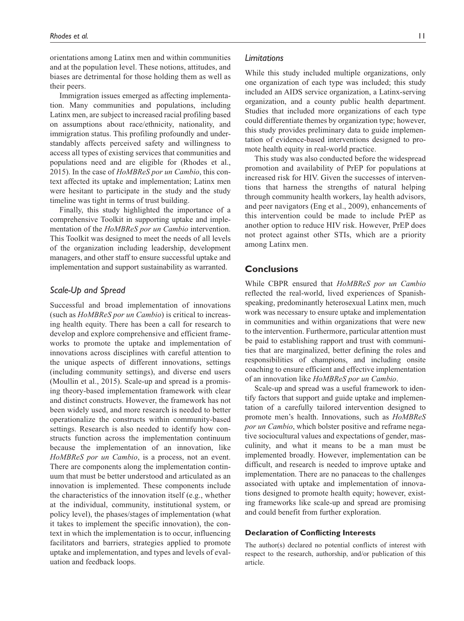orientations among Latinx men and within communities and at the population level. These notions, attitudes, and biases are detrimental for those holding them as well as their peers.

Immigration issues emerged as affecting implementation. Many communities and populations, including Latinx men, are subject to increased racial profiling based on assumptions about race/ethnicity, nationality, and immigration status. This profiling profoundly and understandably affects perceived safety and willingness to access all types of existing services that communities and populations need and are eligible for (Rhodes et al., 2015). In the case of *HoMBReS por un Cambio*, this context affected its uptake and implementation; Latinx men were hesitant to participate in the study and the study timeline was tight in terms of trust building.

Finally, this study highlighted the importance of a comprehensive Toolkit in supporting uptake and implementation of the *HoMBReS por un Cambio* intervention. This Toolkit was designed to meet the needs of all levels of the organization including leadership, development managers, and other staff to ensure successful uptake and implementation and support sustainability as warranted.

#### *Scale-Up and Spread*

Successful and broad implementation of innovations (such as *HoMBReS por un Cambio*) is critical to increasing health equity. There has been a call for research to develop and explore comprehensive and efficient frameworks to promote the uptake and implementation of innovations across disciplines with careful attention to the unique aspects of different innovations, settings (including community settings), and diverse end users (Moullin et al., 2015). Scale-up and spread is a promising theory-based implementation framework with clear and distinct constructs. However, the framework has not been widely used, and more research is needed to better operationalize the constructs within community-based settings. Research is also needed to identify how constructs function across the implementation continuum because the implementation of an innovation, like *HoMBReS por un Cambio*, is a process, not an event. There are components along the implementation continuum that must be better understood and articulated as an innovation is implemented. These components include the characteristics of the innovation itself (e.g., whether at the individual, community, institutional system, or policy level), the phases/stages of implementation (what it takes to implement the specific innovation), the context in which the implementation is to occur, influencing facilitators and barriers, strategies applied to promote uptake and implementation, and types and levels of evaluation and feedback loops.

#### *Limitations*

While this study included multiple organizations, only one organization of each type was included; this study included an AIDS service organization, a Latinx-serving organization, and a county public health department. Studies that included more organizations of each type could differentiate themes by organization type; however, this study provides preliminary data to guide implementation of evidence-based interventions designed to promote health equity in real-world practice.

This study was also conducted before the widespread promotion and availability of PrEP for populations at increased risk for HIV. Given the successes of interventions that harness the strengths of natural helping through community health workers, lay health advisors, and peer navigators (Eng et al., 2009), enhancements of this intervention could be made to include PrEP as another option to reduce HIV risk. However, PrEP does not protect against other STIs, which are a priority among Latinx men.

#### **Conclusions**

While CBPR ensured that *HoMBReS por un Cambio* reflected the real-world, lived experiences of Spanishspeaking, predominantly heterosexual Latinx men, much work was necessary to ensure uptake and implementation in communities and within organizations that were new to the intervention. Furthermore, particular attention must be paid to establishing rapport and trust with communities that are marginalized, better defining the roles and responsibilities of champions, and including onsite coaching to ensure efficient and effective implementation of an innovation like *HoMBReS por un Cambio*.

Scale-up and spread was a useful framework to identify factors that support and guide uptake and implementation of a carefully tailored intervention designed to promote men's health. Innovations, such as *HoMBReS por un Cambio*, which bolster positive and reframe negative sociocultural values and expectations of gender, masculinity, and what it means to be a man must be implemented broadly. However, implementation can be difficult, and research is needed to improve uptake and implementation. There are no panaceas to the challenges associated with uptake and implementation of innovations designed to promote health equity; however, existing frameworks like scale-up and spread are promising and could benefit from further exploration.

#### **Declaration of Conflicting Interests**

The author(s) declared no potential conflicts of interest with respect to the research, authorship, and/or publication of this article.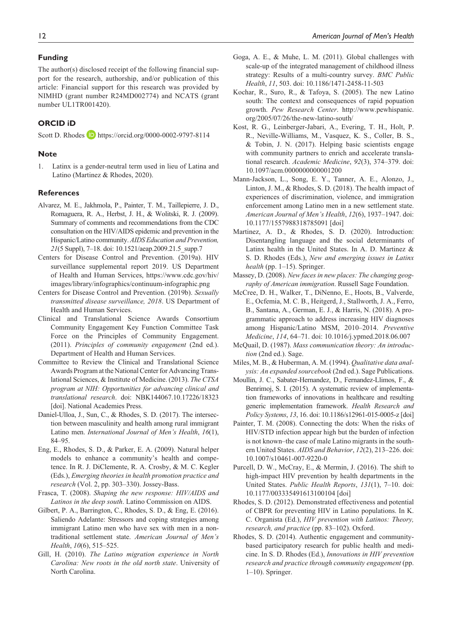#### **Funding**

The author(s) disclosed receipt of the following financial support for the research, authorship, and/or publication of this article: Financial support for this research was provided by NIMHD (grant number R24MD002774) and NCATS (grant number UL1TR001420).

# **ORCID iD**

Scott D. Rhodes **D** <https://orcid.org/0000-0002-9797-8114>

#### **Note**

1. Latinx is a gender-neutral term used in lieu of Latina and Latino (Martinez & Rhodes, 2020).

#### **References**

- Alvarez, M. E., Jakhmola, P., Painter, T. M., Taillepierre, J. D., Romaguera, R. A., Herbst, J. H., & Wolitski, R. J. (2009). Summary of comments and recommendations from the CDC consultation on the HIV/AIDS epidemic and prevention in the Hispanic/Latino community. *AIDS Education and Prevention, 21*(5 Suppl), 7–18. doi: 10.1521/aeap.2009.21.5\_supp.7
- Centers for Disease Control and Prevention. (2019a). HIV surveillance supplemental report 2019. US Department of Health and Human Services, [https://www.cdc.gov/hiv/](https://www.cdc.gov/hiv/images/library/infographics/continuum-infographic.png) [images/library/infographics/continuum-infographic.png](https://www.cdc.gov/hiv/images/library/infographics/continuum-infographic.png)
- Centers for Disease Control and Prevention. (2019b). *Sexually transmitted disease surveillance, 2018*. US Department of Health and Human Services.
- Clinical and Translational Science Awards Consortium Community Engagement Key Function Committee Task Force on the Principles of Community Engagement. (2011). *Principles of community engagement* (2nd ed.). Department of Health and Human Services.
- Committee to Review the Clinical and Translational Science Awards Program at the National Center for Advancing Translational Sciences, & Institute of Medicine. (2013). *The CTSA program at NIH: Opportunities for advancing clinical and translational research*. doi: NBK144067.10.17226/18323 [doi]. National Academies Press.
- Daniel-Ulloa, J., Sun, C., & Rhodes, S. D. (2017). The intersection between masculinity and health among rural immigrant Latino men. *International Journal of Men's Health*, *16*(1), 84–95.
- Eng, E., Rhodes, S. D., & Parker, E. A. (2009). Natural helper models to enhance a community's health and competence. In R. J. DiClemente, R. A. Crosby, & M. C. Kegler (Eds.), *Emerging theories in health promotion practice and research* (Vol. 2, pp. 303–330). Jossey-Bass.
- Frasca, T. (2008). *Shaping the new response: HIV/AIDS and Latinos in the deep south*. Latino Commission on AIDS.
- Gilbert, P. A., Barrington, C., Rhodes, S. D., & Eng, E. (2016). Saliendo Adelante: Stressors and coping strategies among immigrant Latino men who have sex with men in a nontraditional settlement state. *American Journal of Men's Health*, *10*(6), 515–525.
- Gill, H. (2010). *The Latino migration experience in North Carolina: New roots in the old north state*. University of North Carolina.
- Goga, A. E., & Muhe, L. M. (2011). Global challenges with scale-up of the integrated management of childhood illness strategy: Results of a multi-country survey. *BMC Public Health*, *11*, 503. doi: 10.1186/1471-2458-11-503
- Kochar, R., Suro, R., & Tafoya, S. (2005). The new Latino south: The context and consequences of rapid popuation growth. *Pew Research Center*. [http://www.pewhispanic.](http://www.pewhispanic.org/2005/07/26/the-new-latino-south/) [org/2005/07/26/the-new-latino-south/](http://www.pewhispanic.org/2005/07/26/the-new-latino-south/)
- Kost, R. G., Leinberger-Jabari, A., Evering, T. H., Holt, P. R., Neville-Williams, M., Vasquez, K. S., Coller, B. S., & Tobin, J. N. (2017). Helping basic scientists engage with community partners to enrich and accelerate translational research. *Academic Medicine*, *92*(3), 374–379. doi: 10.1097/acm.0000000000001200
- Mann-Jackson, L., Song, E. Y., Tanner, A. E., Alonzo, J., Linton, J. M., & Rhodes, S. D. (2018). The health impact of experiences of discrimination, violence, and immigration enforcement among Latino men in a new settlement state. *American Journal of Men's Health*, *12*(6), 1937–1947. doi: 10.1177/1557988318785091 [doi]
- Martinez, A. D., & Rhodes, S. D. (2020). Introduction: Disentangling language and the social determinants of Latinx health in the United States. In A. D. Martinez & S. D. Rhodes (Eds.), *New and emerging issues in Latinx health* (pp. 1–15). Springer.
- Massey, D. (2008). *New faces in new places: The changing geography of American immigration*. Russell Sage Foundation.
- McCree, D. H., Walker, T., DiNenno, E., Hoots, B., Valverde, E., Ocfemia, M. C. B., Heitgerd, J., Stallworth, J. A., Ferro, B., Santana, A., German, E. J., & Harris, N. (2018). A programmatic approach to address increasing HIV diagnoses among Hispanic/Latino MSM, 2010–2014. *Preventive Medicine*, *114*, 64–71. doi: 10.1016/j.ypmed.2018.06.007
- McQuail, D. (1987). *Mass communication theory: An introduction* (2nd ed.). Sage.
- Miles, M. B., & Huberman, A. M. (1994). *Qualitative data analysis: An expanded sourcebook* (2nd ed.). Sage Publications.
- Moullin, J. C., Sabater-Hernandez, D., Fernandez-Llimos, F., & Benrimoj, S. I. (2015). A systematic review of implementation frameworks of innovations in healthcare and resulting generic implementation framework. *Health Research and Policy Systems*, *13*, 16. doi: 10.1186/s12961-015-0005-z [doi]
- Painter, T. M. (2008). Connecting the dots: When the risks of HIV/STD infection appear high but the burden of infection is not known–the case of male Latino migrants in the southern United States. *AIDS and Behavior*, *12*(2), 213–226. doi: 10.1007/s10461-007-9220-0
- Purcell, D. W., McCray, E., & Mermin, J. (2016). The shift to high-impact HIV prevention by health departments in the United States. *Public Health Reports*, *131*(1), 7–10. doi: 10.1177/003335491613100104 [doi]
- Rhodes, S. D. (2012). Demonstrated effectiveness and potential of CBPR for preventing HIV in Latino populations. In K. C. Organista (Ed.), *HIV prevention with Latinos: Theory, research, and practice* (pp. 83–102). Oxford.
- Rhodes, S. D. (2014). Authentic engagement and communitybased participatory research for public health and medicine. In S. D. Rhodes (Ed.), *Innovations in HIV prevention research and practice through community engagement* (pp. 1–10). Springer.